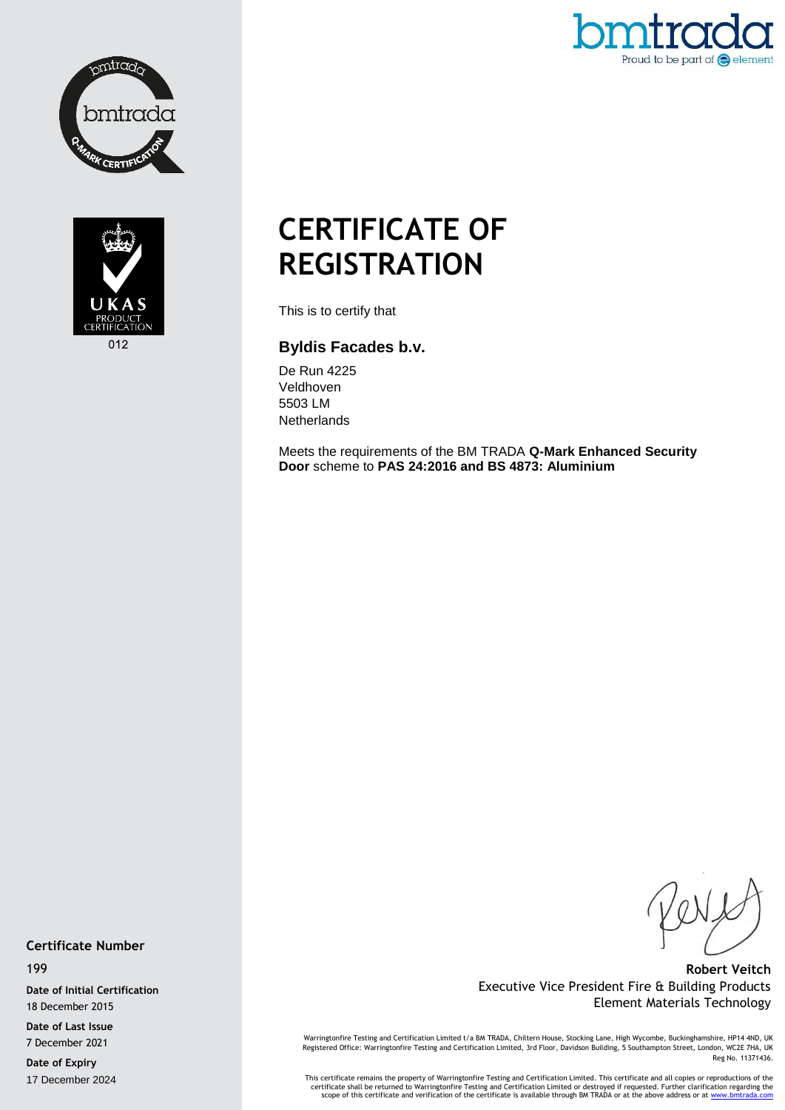



Proud to be part of  $\bigodot$  element

# **CERTIFICATE OF REGISTRATION**

This is to certify that

### **Byldis Facades b.v.**

De Run 4225 Veldhoven 5503 LM **Netherlands** 

Meets the requirements of the BM TRADA **Q-Mark Enhanced Security Door** scheme to **PAS 24:2016 and BS 4873: Aluminium**

#### **Certificate Number**

199

**Date of Initial Certification** 18 December 2015

**Date of Last Issue** 7 December 2021

**Date of Expiry** 17 December 2024

**Robert Veitch** Executive Vice President Fire & Building Products Element Materials Technology

Warringtonfire Testing and Certification Limited t/a BM TRADA, Chiltern House, Stocking Lane, High Wycombe, Buckinghamshire, HP14 4ND, UK<br>Registered Office: Warringtonfire Testing and Certification Limited, 3rd Floor, Davi Reg No. 11371436.

This certificate remains the property of Warringtonfire Testing and Certification Limited. This certificate and all copies or reproductions of the<br>Certificate shall be returned to Warringtonfire Testing and Certification L